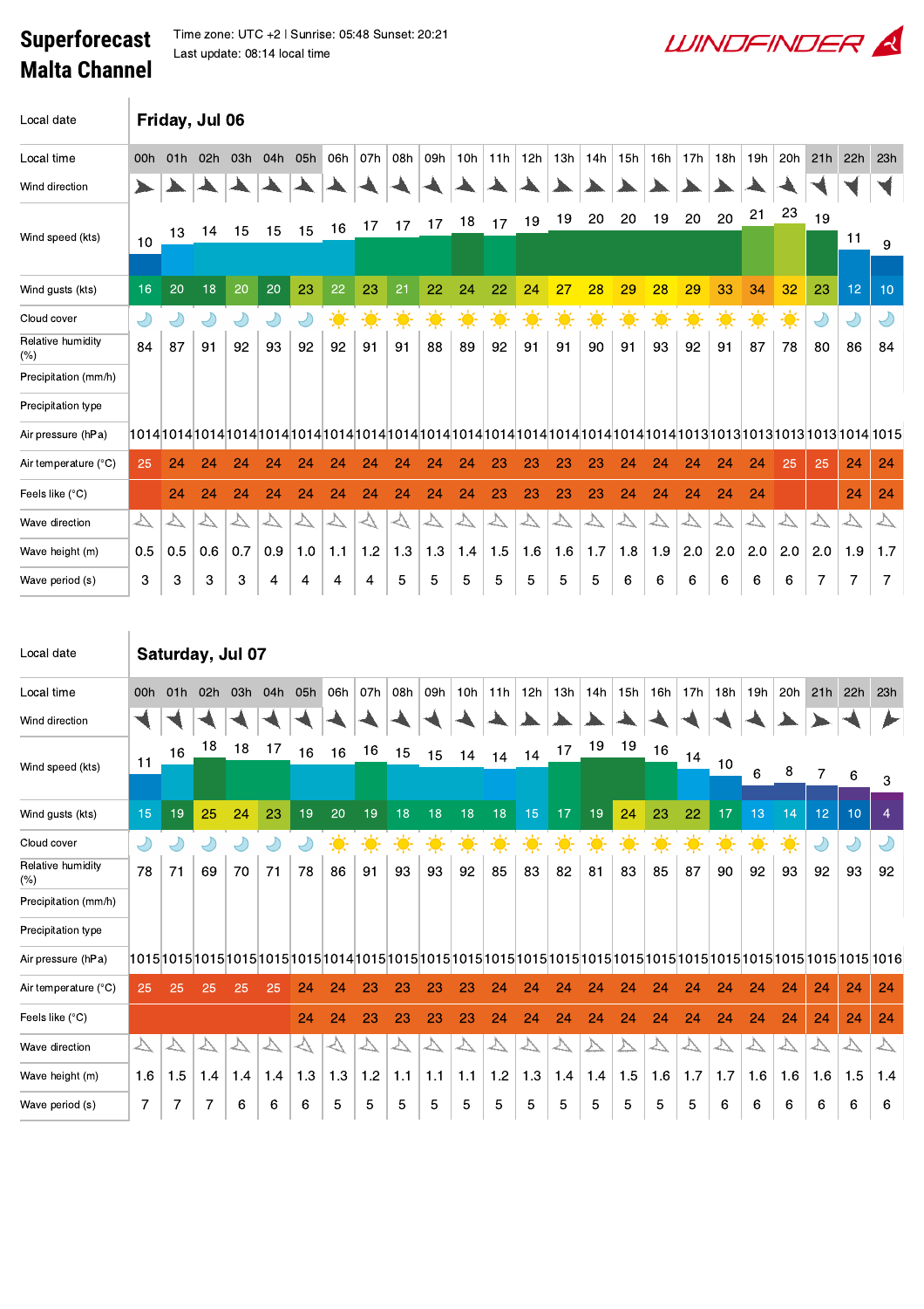## **Superforecast Malta Channel**

 $\text{max}$  Time zone: UTC +2 | Sunrise: 05:48 Sunset: 20:21 Last update: 08:14 local time

| Local date                  |                   | Friday, Jul 06    |                  |                             |                  |                  |                  |                   |                   |                  |                             |                   |                  |                             |                      |                  |                   |                    |                   |                   |                      |                    |                   |                   |
|-----------------------------|-------------------|-------------------|------------------|-----------------------------|------------------|------------------|------------------|-------------------|-------------------|------------------|-----------------------------|-------------------|------------------|-----------------------------|----------------------|------------------|-------------------|--------------------|-------------------|-------------------|----------------------|--------------------|-------------------|-------------------|
| Local time                  | 00h               | 01h               | 02h              | 03h                         | 04h              | 05h              | 06h              | 07h               | 08h               | 09h              | 10h                         | 11h               | 12h              | 13h                         | 14h                  | 15h              | 16h               | 17h                | 18h               | 19h               | 20h                  | 21h                | 22h               | 23h               |
| Wind direction              |                   |                   |                  |                             |                  |                  |                  |                   |                   |                  |                             |                   |                  |                             |                      |                  |                   |                    |                   |                   |                      |                    |                   |                   |
|                             |                   |                   |                  |                             |                  |                  |                  | 17                | 17                | 17               | 18                          | 17                | 19               | 19                          | 20                   | 20               | 19                | 20                 | 20                | 21                | 23                   | 19                 |                   |                   |
| Wind speed (kts)            | 10                | 13                | 14               | 15                          | 15               | 15               | 16               |                   |                   |                  |                             |                   |                  |                             |                      |                  |                   |                    |                   |                   |                      |                    | 11                | 9                 |
| Wind gusts (kts)            | 16                | 20                | 18               | 20                          | 20               | 23               | 22               | 23                | 21                | 22               | 24                          | 22                | 24               | 27                          | 28                   | 29               | 28                | 29                 | 33                | 34                | 32                   | 23                 | 12                | 10                |
| Cloud cover                 | Y                 |                   | $\bigcirc$       | $\bigcirc$                  | Y                | $\bigcirc$       | $\ddot{\bullet}$ | 美                 | $\ddot{\bullet}$  | 美                | 美                           | 美                 | $\ddot{\bullet}$ | ☀                           | 美                    | $\ddot{\bullet}$ | 美                 | $\frac{1}{2}$      | 美                 | ☀                 | $\ddot{\bullet}$     | Y                  | $\bigcirc$        | $\bigcirc$        |
| Relative humidity<br>$(\%)$ | 84                | 87                | 91               | 92                          | 93               | 92               | 92               | 91                | 91                | 88               | 89                          | 92                | 91               | 91                          | 90                   | 91               | 93                | 92                 | 91                | 87                | 78                   | 80                 | 86                | 84                |
| Precipitation (mm/h)        |                   |                   |                  |                             |                  |                  |                  |                   |                   |                  |                             |                   |                  |                             |                      |                  |                   |                    |                   |                   |                      |                    |                   |                   |
| Precipitation type          |                   |                   |                  |                             |                  |                  |                  |                   |                   |                  |                             |                   |                  |                             |                      |                  |                   |                    |                   |                   |                      |                    |                   |                   |
| Air pressure (hPa)          |                   |                   |                  |                             |                  |                  |                  |                   |                   |                  |                             |                   |                  |                             |                      |                  |                   |                    |                   |                   |                      |                    |                   |                   |
| Air temperature (°C)        | 25                | 24                | 24               | 24                          | 24               | 24               | 24               | 24                | 24                | 24               | 24                          | 23                | 23               | 23                          | 23                   | 24               | 24                | 24                 | 24                | 24                | 25                   | 25                 | 24                | 24                |
| Feels like (°C)             |                   | 24                | 24               | 24                          | 24               | 24               | 24               | 24                | 24                | 24               | 24                          | 23                | 23               | 23                          | 23                   | 24               | 24                | 24                 | 24                | 24                |                      |                    | 24                | 24                |
| Wave direction              | $\overline{\vee}$ | $\triangleright$  | $\triangleright$ | $\overline{\triangleright}$ | $\triangleright$ | $\triangleright$ | $\triangleright$ | $\heartsuit$      | $\heartsuit$      | △                | △                           | $\overline{\vee}$ | $\triangleright$ | $\triangleright$            | $\bigtriangledown$   | $\triangleright$ | $\overline{\vee}$ | $\bigtriangledown$ | $\triangleright$  | $\overline{\vee}$ | $\triangleright$     | $\bigtriangledown$ | $\overline{\vee}$ | $\overline{\vee}$ |
| Wave height (m)             | 0.5               | 0.5               | 0.6              | 0.7                         | 0.9              | 1.0              | 1.1              | 1.2               | 1.3               | 1.3              | 1.4                         | 1.5               | 1.6              | 1.6                         | 1.7                  | 1.8              | 1.9               | 2.0                | 2.0               | 2.0               | 2.0                  | 2.0                | 1.9               | 1.7               |
| Wave period (s)             | 3                 | 3                 | 3                | 3                           | 4                | 4                | 4                | 4                 | 5                 | 5                | 5                           | 5                 | 5                | 5                           | 5                    | 6                | 6                 | 6                  | 6                 | 6                 | 6                    | 7                  | 7                 | 7                 |
| Local date                  |                   | Saturday, Jul 07  |                  |                             |                  |                  |                  |                   |                   |                  |                             |                   |                  |                             |                      |                  |                   |                    |                   |                   |                      |                    |                   |                   |
| Local time                  | 00h               | 01h               | 02h              | 03h                         | 04h              | 05h              | 06h              | 07h               | 08h               | 09h              | 10h                         | 11h               | 12h              | 13h                         | 14h                  | 15h              | 16h               | 17h                | 18h               | 19h               | 20h                  | 21h                | 22h               | 23h               |
| Wind direction              |                   |                   |                  |                             |                  |                  |                  |                   |                   |                  |                             |                   |                  |                             |                      |                  |                   |                    |                   |                   |                      |                    |                   |                   |
| Wind speed (kts)            | 11                | 16                | 18               | 18                          | 17               | 16               | 16               | 16                | 15                | 15               | 14                          | 14                | 14               | 17                          | 19                   | 19               | 16                | 14                 | 10                | 6                 | 8                    | 7                  | 6                 | 3                 |
| Wind gusts (kts)            | 15                | 19                | 25               | 24                          | 23               | 19               | 20               | 19                | 18                | 18               | 18                          | 18                | 15               | 17                          | 19                   | 24               | 23                | 22                 | 17                | 13                | 14                   | 12 <sub>2</sub>    | 10                | $\overline{4}$    |
| Cloud cover                 | D                 | Y                 | $\bigcirc$       | $\bigcirc$                  | $\bigcirc$       | $\bigcirc$       | 美                | 美                 | 美                 | 美                | 美                           | 美                 | 美                | 美                           | $\frac{1}{\sqrt{2}}$ | 美                | 美                 | 美                  | 美                 | 美                 | $\frac{1}{\sqrt{2}}$ | Y                  | $\bigcirc$        | Y                 |
| Relative humidity<br>(%)    | 78                | 71                | 69               | 70                          | 71               | 78               | 86               | 91                | 93                | 93               | 92                          | 85                | 83               | 82                          | 81                   | 83               | 85                | 87                 | 90                | 92                | 93                   | 92                 | 93                | 92                |
| Precipitation (mm/h)        |                   |                   |                  |                             |                  |                  |                  |                   |                   |                  |                             |                   |                  |                             |                      |                  |                   |                    |                   |                   |                      |                    |                   |                   |
| Precipitation type          |                   |                   |                  |                             |                  |                  |                  |                   |                   |                  |                             |                   |                  |                             |                      |                  |                   |                    |                   |                   |                      |                    |                   |                   |
| Air pressure (hPa)          |                   |                   |                  |                             |                  |                  |                  |                   |                   |                  |                             |                   |                  |                             |                      |                  |                   |                    |                   |                   |                      |                    |                   |                   |
| Air temperature (°C)        |                   | 25                |                  |                             |                  |                  |                  |                   |                   |                  |                             |                   | 24               | 24                          | 24                   | 24               | 24                | 24                 | 24                | 24                | 24                   | 24                 | 24                | 24                |
|                             | 25                |                   | 25               | 25                          | 25               | 24               | 24               | 23                | 23                | 23               | 23                          | 24                |                  |                             |                      |                  |                   |                    |                   |                   |                      |                    |                   |                   |
| Feels like (°C)             |                   |                   |                  |                             |                  | 24               | 24               | 23                | 23                | 23               | 23                          | 24                | 24               | 24                          | 24                   | 24               | 24                | 24                 | 24                | 24                | 24                   | 24                 | 24                | 24                |
| Wave direction              | $\Delta$          | $\overline{\vee}$ | $\triangleright$ | $\overline{\vee}$           | $\triangleright$ | $\heartsuit$     | $\triangleright$ | $\overline{\vee}$ | $\overline{\vee}$ | $\triangleright$ | $\overline{\triangleright}$ | $\overline{\vee}$ | $\triangleright$ | $\overline{\triangleright}$ | △                    | △                | $\overline{\vee}$ | $\triangleright$   | $\overline{\vee}$ | $\triangleright$  | $\overline{\vee}$    | $\overline{\vee}$  | $\overline{\vee}$ | $\overline{\vee}$ |
| Wave height (m)             | 1.6               | 1.5               | 1.4              | 1.4                         | 1.4              | 1.3              | 1.3              | 1.2               | 1.1               | 1.1              | 1.1                         | 1.2               | 1.3              | 1.4                         | 1.4                  | 1.5              | 1.6               | 1.7                | 1.7               | 1.6               | 1.6                  | 1.6                | 1.5               | 1.4               |